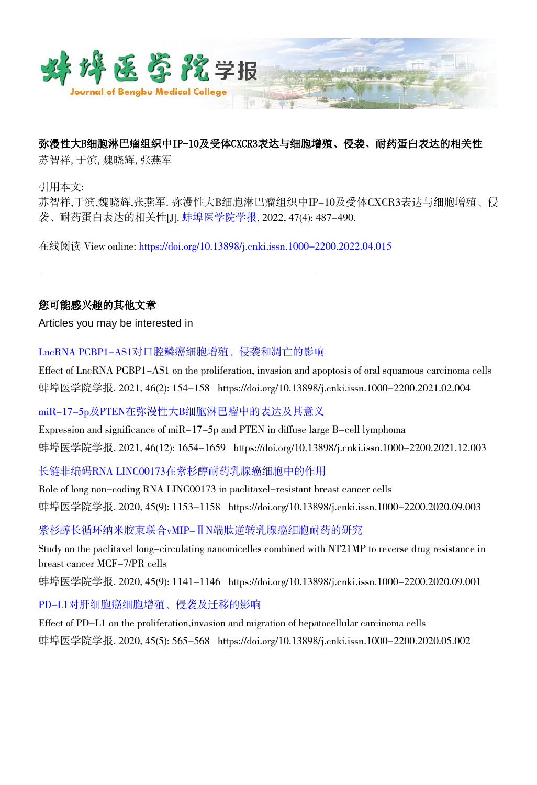

## 弥漫性大B细胞淋巴瘤组织中IP-10及受体CXCR3表达与细胞增殖、侵袭、耐药蛋白表达的相关性

苏智祥,于滨,魏晓辉,张燕军

引用本文:

苏智祥,于滨,魏晓辉,张燕军. 弥漫性大B细胞淋巴瘤组织中IP-10及受体CXCR3表达与细胞增殖、侵 袭、耐药蛋白表达的相关性[J]. [蚌埠医学院学报](https://xuebao.bbmc.edu.cn/), 2022, 47(4): 487-490.

在线阅读 View online: [https://doi.org/10.13898/j.cnki.issn.1000-2200.2022.04.015](https://xuebao.bbmc.edu.cn/cn/article/doi/10.13898/j.cnki.issn.1000-2200.2022.04.015)

### 您可能感兴趣的其他文章

Articles you may be interested in

[LncRNA PCBP1-AS1对口腔鳞癌细胞增殖、侵袭和凋亡的影响](https://xuebao.bbmc.edu.cn/cn/article/doi/10.13898/j.cnki.issn.1000-2200.2021.02.004)

Effect of LncRNA PCBP1-AS1 on the proliferation, invasion and apoptosis of oral squamous carcinoma cells 蚌埠医学院学报. 2021, 46(2): 154-158 https://doi.org/10.13898/j.cnki.issn.1000-2200.2021.02.004

[miR-17-5p及PTEN在弥漫性大B细胞淋巴瘤中的表达及其意义](https://xuebao.bbmc.edu.cn/cn/article/doi/10.13898/j.cnki.issn.1000-2200.2021.12.003)

Expression and significance of miR-17-5p and PTEN in diffuse large B-cell lymphoma 蚌埠医学院学报. 2021, 46(12): 1654–1659 https://doi.org/10.13898/j.cnki.issn.1000–2200.2021.12.003

[长链非编码RNA LINC00173在紫杉醇耐药乳腺癌细胞中的作用](https://xuebao.bbmc.edu.cn/cn/article/doi/10.13898/j.cnki.issn.1000-2200.2020.09.003)

Role of long non-coding RNA LINC00173 in paclitaxel-resistant breast cancer cells 蚌埠医学院学报. 2020, 45(9): 1153-1158 https://doi.org/10.13898/j.cnki.issn.1000-2200.2020.09.003

[紫杉醇长循环纳米胶束联合vMIP-ⅡN端肽逆转乳腺癌细胞耐药的研究](https://xuebao.bbmc.edu.cn/cn/article/doi/10.13898/j.cnki.issn.1000-2200.2020.09.001)

Study on the paclitaxel long-circulating nanomicelles combined with NT21MP to reverse drug resistance in breast cancer MCF-7/PR cells

蚌埠医学院学报. 2020, 45(9): 1141-1146 https://doi.org/10.13898/j.cnki.issn.1000-2200.2020.09.001

[PD-L1对肝细胞癌细胞增殖、侵袭及迁移的影响](https://xuebao.bbmc.edu.cn/cn/article/doi/10.13898/j.cnki.issn.1000-2200.2020.05.002)

Effect of PD-L1 on the proliferation,invasion and migration of hepatocellular carcinoma cells 蚌埠医学院学报. 2020, 45(5): 565-568 https://doi.org/10.13898/j.cnki.issn.1000-2200.2020.05.002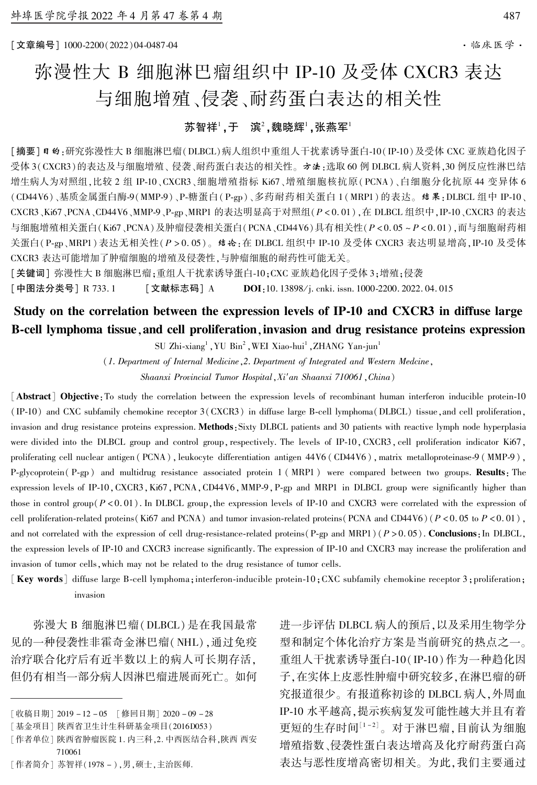[文章编号] 1000鄄2200(2022)04鄄0487鄄04 ·临床医学·

# 弥漫性大 B 细胞淋巴瘤组织中 IP-10 及受体 CXCR3 表达 与细胞增殖、侵袭、耐药蛋白表达的相关性

### 苏智祥',于 滨 $^{\scriptscriptstyle{2}}$ ,魏晓辉',张燕军'

[摘要] @ 的:研究弥漫性大 B 细胞淋巴瘤(DLBCL)病人组织中重组人干扰素诱导蛋白-10(IP-10)及受体 CXC 亚族趋化因子 受体 3(CXCR3)的表达及与细胞增殖、 侵袭、耐药蛋白表达的相关性。 方法:选取 60 例 DLBCL 病人资料,30 例反应性淋巴结 增生病人为对照组,比较 2 组 IP-10、CXCR3、细胞增殖指标 Ki67、增殖细胞核抗原( PCNA)、白细胞分化抗原 44 变异体 6 (CD44V6)、基质金属蛋白酶-9(MMP-9)、P-糖蛋白(P-gp)、多药耐药相关蛋白 1(MRP1) 的表达。 结果: DLBCL 组中 IP-10、 CXCR3、Ki67、PCNA、CD44V6、MMP-9、P-gp、MRP1 的表达明显高于对照组(P < 0.01), 在 DLBCL 组织中, IP-10、CXCR3 的表达 与细胞增殖相关蛋白(Ki67、PCNA)及肿瘤侵袭相关蛋白(PCNA、CD44V6)具有相关性(P < 0. 05 ~ P < 0. 01),而与细胞耐药相 关蛋白(P-gp、MRP1)表达无相关性(P > 0.05)。 结论:在 DLBCL 组织中 IP-10 及受体 CXCR3 表达明显增高, IP-10 及受体 CXCR3 表达可能增加了肿瘤细胞的增殖及侵袭性,与肿瘤细胞的耐药性可能无关。

[关键词] 弥漫性大 B 细胞淋巴瘤;重组人干扰素诱导蛋白-10;CXC 亚族趋化因子受体 3;增殖;侵袭

[中图法分类号] R 733.1 [文献标志码] A DOI:10. 13898/j. cnki. issn. 1000-2200. 2022. 04. 015

# Study on the correlation between the expression levels of IP-10 and CXCR3 in diffuse large B-cell lymphoma tissue, and cell proliferation, invasion and drug resistance proteins expression

SU Zhi-xiang<sup>1</sup>, YU Bin<sup>2</sup>, WEI Xiao-hui<sup>1</sup>, ZHANG Yan-jun<sup>1</sup>

(1. Department of Internal Medicine,2. Department of Integrated and Western Medcine, Shaanxi Provincial Tumor Hospital, Xi'an Shaanxi 710061, China)

[Abstract] Objective: To study the correlation between the expression levels of recombinant human interferon inducible protein-10 (IP-10) and CXC subfamily chemokine receptor  $3$  (CXCR3) in diffuse large B-cell lymphoma(DLBCL) tissue, and cell proliferation, invasion and drug resistance proteins expression. Methods: Sixty DLBCL patients and 30 patients with reactive lymph node hyperplasia were divided into the DLBCL group and control group, respectively. The levels of IP-10, CXCR3, cell proliferation indicator Ki67, proliferating cell nuclear antigen (PCNA), leukocyte differentiation antigen  $44V6$  (CD44V6), matrix metalloproteinase-9 (MMP-9), P-glycoprotein (P-gp) and multidrug resistance associated protein 1 (MRP1) were compared between two groups. Results: The expression levels of IP-10, CXCR3, Ki67, PCNA, CD44V6, MMP-9, P-gp and MRP1 in DLBCL group were significantly higher than those in control group( $P < 0.01$ ). In DLBCL group, the expression levels of IP-10 and CXCR3 were correlated with the expression of cell proliferation-related proteins(Ki67 and PCNA) and tumor invasion-related proteins(PCNA and CD44V6)( $P < 0.05$  to  $P < 0.01$ ), and not correlated with the expression of cell drug-resistance-related proteins(P-gp and MRP1)( $P > 0.05$ ). Conclusions: In DLBCL, the expression levels of IP-10 and CXCR3 increase significantly. The expression of IP-10 and CXCR3 may increase the proliferation and invasion of tumor cells, which may not be related to the drug resistance of tumor cells.

 $\kappa$  Wey words] diffuse large B-cell lymphoma; interferon-inducible protein-10;CXC subfamily chemokine receptor 3; proliferation; invasion

弥漫大 B 细胞淋巴瘤(DLBCL)是在我国最常 见的一种侵袭性非霍奇金淋巴瘤(NHL),通过免疫 治疗联合化疗后有近半数以上的病人可长期存活, 但仍有相当一部分病人因淋巴瘤进展而死亡。 如何

[作者简介] 苏智祥(1978 - ),男,硕士,主治医师.

进一步评估 DLBCL 病人的预后,以及采用生物学分 型和制定个体化治疗方案是当前研究的热点之一。 重组人干扰素诱导蛋白-10(IP-10)作为一种趋化因 子,在实体上皮恶性肿瘤中研究较多,在淋巴瘤的研 究报道很少。 有报道称初诊的 DLBCL 病人,外周血 IP-10 水平越高,提示疾病复发可能性越大并且有着 更短的生存时间[1-2]。对于淋巴瘤,目前认为细胞 增殖指数、侵袭性蛋白表达增高及化疗耐药蛋白高 表达与恶性度增高密切相关。 为此,我们主要通过

<sup>[</sup>收稿日期] 2019 - 12 - 05 [修回日期] 2020 - 09 - 28

<sup>[</sup>基金项目] 陕西省卫生计生科研基金项目(2016D053)

<sup>[</sup>作者单位] 陕西省肿瘤医院 1. 内三科,2. 中西医结合科,陕西 西安 710061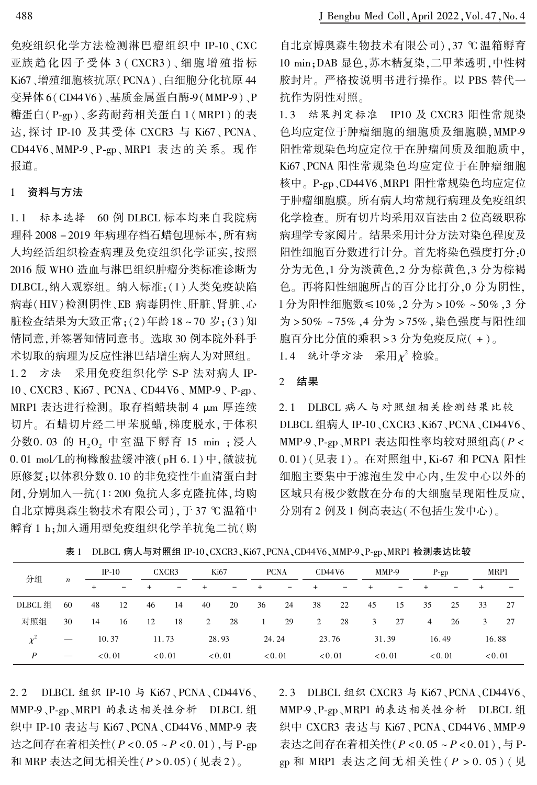免疫组织化学方法检测淋巴瘤组织中 IP-10、CXC 亚族 趋 化 因 子 受 体 3 ( CXCR3 )、 细 胞 增 殖 指 标 Ki67、增殖细胞核抗原(PCNA)、白细胞分化抗原 44 变异体 6(CD44V6)、基质金属蛋白酶-9(MMP-9)、P 糖蛋白(P-gp)、多药耐药相关蛋白 1 (MRP1) 的表 达,探讨 IP-10 及其受体 CXCR3 与 Ki67、PCNA、 CD44V6、MMP-9、P-gp、MRP1 表达的关系。 现作 报道。

### 1 资料与方法

1. 1 标本选择 60 例 DLBCL 标本均来自我院病 理科 2008 - 2019 年病理存档石蜡包埋标本,所有病 人均经活组织检查病理及免疫组织化学证实,按照 2016 版 WHO 造血与淋巴组织肿瘤分类标准诊断为 DLBCL,纳入观察组。 纳入标准:(1)人类免疫缺陷 病毒(HIV)检测阴性、EB 病毒阴性、肝脏、肾脏、心 脏检查结果为大致正常;(2)年龄 18 ~ 70 岁;(3)知 情同意,并签署知情同意书。 选取 30 例本院外科手 术切取的病理为反应性淋巴结增生病人为对照组。

1.2 方法 采用免疫组织化学 S-P 法对病人 IP- $10$ , CXCR3, Ki67, PCNA, CD44V6, MMP-9, P-gp, MRP1 表达进行检测。取存档蜡块制 4 µm 厚连续 切片。 石蜡切片经二甲苯脱蜡,梯度脱水,于体积 分数0.03 的 H<sub>2</sub>O<sub>2</sub> 中室温下孵育 15 min ; 浸入 0.01 mol/L的枸橼酸盐缓冲液(pH 6.1)中,微波抗 原修复;以体积分数 0. 10 的非免疫性牛血清蛋白封 闭,分别加入一抗(1:200 兔抗人多克隆抗体,均购 自北京博奥森生物技术有限公司),于 37 ℃温箱中 孵育 1 h;加入通用型免疫组织化学羊抗兔二抗(购

自北京博奥森生物技术有限公司),37 ℃温箱孵育 10 min;DAB 显色,苏木精复染,二甲苯透明,中性树 胶封片。 严格按说明书进行操作。 以 PBS 替代一 抗作为阴性对照。

1. 3 结果判定标准 IP10 及 CXCR3 阳性常规染 色均应定位于肿瘤细胞的细胞质及细胞膜, MMP-9 阳性常规染色均应定位于在肿瘤间质及细胞质中, Ki67、PCNA 阳性常规染色均应定位于在肿瘤细胞 核中。P-gp、CD44V6、MRP1 阳性常规染色均应定位 于肿瘤细胞膜。 所有病人均常规行病理及免疫组织 化学检查。 所有切片均采用双盲法由 2 位高级职称 病理学专家阅片。 结果采用计分方法对染色程度及 阳性细胞百分数进行计分。 首先将染色强度打分:0 分为无色,1 分为淡黄色,2 分为棕黄色,3 分为棕褐 色。 再将阳性细胞所占的百分比打分,0 分为阴性, 1分为阳性细胞数≤10% ,2 分为 > 10% ~ 50% ,3 分 为 > 50% ~ 75% ,4 分为 > 75% ,染色强度与阳性细 胞百分比分值的乘积 > 3 分为免疫反应( + )。 1.4 统计学方法 采用 $\chi^2$ 检验。

### 2 结果

2. 1 DLBCL 病人与对照组相关检测结果比较 DLBCL 组病人 IP-10、CXCR3、Ki67、PCNA、CD44V6、 MMP-9、P-gp、MRP1 表达阳性率均较对照组高(P < 0.01)(见表 1)。在对照组中, Ki-67 和 PCNA 阳性 细胞主要集中于滤泡生发中心内,生发中心以外的 区域只有极少数散在分布的大细胞呈现阳性反应, 分别有 2 例及 1 例高表达(不包括生发中心)。

| 分组       |                                 | $IP-10$                                              |        | CXCR3  |        | Ki67  |      | <b>PCNA</b>              |        | CD44V6 |      | MMP-9 |      | $P$ -gp                  |        | MRP1 |        |
|----------|---------------------------------|------------------------------------------------------|--------|--------|--------|-------|------|--------------------------|--------|--------|------|-------|------|--------------------------|--------|------|--------|
|          | $\boldsymbol{n}$                | $\overline{\phantom{0}}$<br>$\overline{\phantom{0}}$ |        | -      | $^{+}$ | -     | $^+$ | $\overline{\phantom{0}}$ |        | -      |      | -     |      | $\overline{\phantom{0}}$ |        |      |        |
| DLBCL 组  | 60                              | 48                                                   | 12     | 46     | 14     | 40    | 20   | 36                       | 24     | 38     | 22   | 45    | 15   | 35                       | 25     | 33   | 27     |
| 对照组      | 30                              | 14                                                   | -16    | 12     | 18     | 2     | 28   | $\sim$ 1                 | 29     | 2      | 28   | 3     | 27   | $\overline{4}$           | 26     | 3    | 27     |
| $\chi^2$ | $\hspace{0.1mm}-\hspace{0.1mm}$ | 10.37                                                |        | 11.73  |        | 28.93 |      | 24.24                    |        | 23.76  |      | 31.39 |      | 16.49                    |        |      | 16.88  |
| P        |                                 |                                                      | < 0.01 | < 0.01 |        |       | 0.01 |                          | < 0.01 |        | 0.01 |       | 0.01 |                          | < 0.01 |      | < 0.01 |

表 1 DLBCL 病人与对照组 IP-10、CXCR3、Ki67、PCNA、CD44V6、MMP-9、P-gp、MRP1 检测表达比较

2.2 DLBCL 组织 IP-10 与 Ki67、PCNA、CD44V6、 MMP-9、P-gp、MRP1 的表达相关性分析 DLBCL 组 织中 IP-10 表达与 Ki67、PCNA、CD44V6、MMP-9 表 达之间存在着相关性 $(P < 0.05 \sim P < 0.01)$ , 与 P-gp 和 MRP 表达之间无相关性(P > 0.05)(见表 2)。

2. 3 DLBCL 组织 CXCR3 与 Ki67、PCNA、CD44V6、 MMP-9、P-gp、MRP1 的表达相关性分析 DLBCL 组 织中 CXCR3 表达与 Ki67、PCNA、CD44V6、MMP-9 表达之间存在着相关性 $(P < 0.05 \sim P < 0.01)$ , 与 Pgp 和 MRP1 表达之间无相关性 ( P > 0. 05 ) ( 见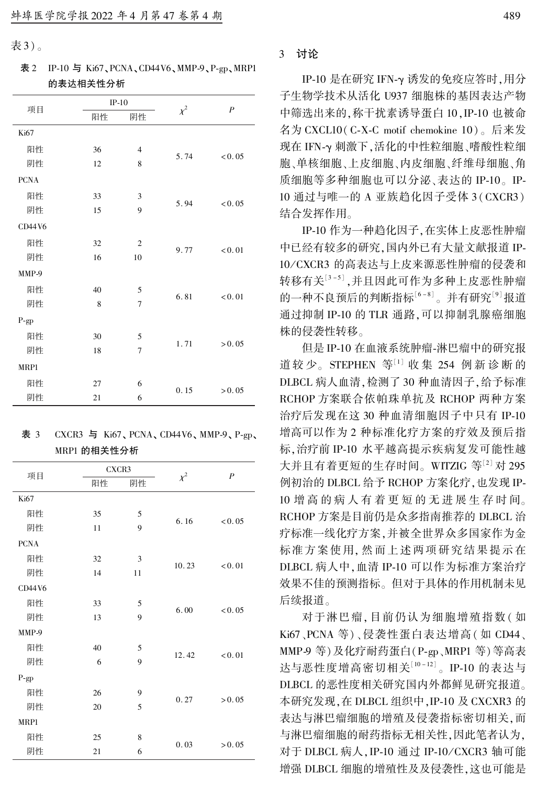表 3)。

表 2 IP-10 与 Ki67、PCNA、CD44V6、MMP-9、P-gp、MRP1 的表达相关性分析

|             |    | $IP-10$        |          | $\boldsymbol{P}$ |  |  |
|-------------|----|----------------|----------|------------------|--|--|
| 项目          | 阳性 | 阴性             | $\chi^2$ |                  |  |  |
| Ki67        |    |                |          |                  |  |  |
| 阳性          | 36 | 4              |          |                  |  |  |
| 阴性          | 12 | 8              | 5.74     | < 0.05           |  |  |
| <b>PCNA</b> |    |                |          |                  |  |  |
| 阳性          | 33 | 3              |          |                  |  |  |
| 阴性          | 15 | 9              | 5.94     | < 0.05           |  |  |
| CD44V6      |    |                |          |                  |  |  |
| 阳性          | 32 | $\mathfrak{2}$ |          |                  |  |  |
| 阴性          | 16 | 10             | 9.77     | < 0.01           |  |  |
| MMP-9       |    |                |          |                  |  |  |
| 阳性          | 40 | 5              |          | < 0.01           |  |  |
| 阴性          | 8  | $\overline{7}$ | 6.81     |                  |  |  |
| P-gp        |    |                |          |                  |  |  |
| 阳性          | 30 | 5              |          | > 0.05           |  |  |
| 阴性          | 18 | $\overline{7}$ | 1.71     |                  |  |  |
| MRP1        |    |                |          |                  |  |  |
| 阳性          | 27 | 6              |          | > 0.05           |  |  |
| 阴性          | 21 | 6              | 0.15     |                  |  |  |

表 3  $CXCR3$  与  $Ki67, PCNA, CD44V6, MMP-9, P-gp,$ MRP1 的相关性分析

| 项目          |    | CXCR3 |          | $\boldsymbol{P}$ |  |
|-------------|----|-------|----------|------------------|--|
|             | 阳性 | 阴性    | $\chi^2$ |                  |  |
| Ki67        |    |       |          |                  |  |
| 阳性          | 35 | 5     | 6.16     | < 0.05           |  |
| 阴性          | 11 | 9     |          |                  |  |
| <b>PCNA</b> |    |       |          |                  |  |
| 阳性          | 32 | 3     |          |                  |  |
| 阴性          | 14 | 11    | 10.23    | < 0.01           |  |
| CD44V6      |    |       |          |                  |  |
| 阳性          | 33 | 5     | 6.00     | < 0.05           |  |
| 阴性          | 13 | 9     |          |                  |  |
| MMP-9       |    |       |          |                  |  |
| 阳性          | 40 | 5     |          |                  |  |
| 阴性          | 6  | 9     | 12.42    | < 0.01           |  |
| $P$ -gp     |    |       |          |                  |  |
| 阳性          | 26 | 9     |          | > 0.05           |  |
| 阴性          | 20 | 5     | 0.27     |                  |  |
| MRP1        |    |       |          |                  |  |
| 阳性          | 25 | 8     | 0.03     | > 0.05           |  |
| 阴性          | 21 | 6     |          |                  |  |

#### 3 讨论

IP-10 是在研究 IFN-γ 诱发的免疫应答时,用分 子生物学技术从活化 U937 细胞株的基因表达产物 中筛选出来的,称干扰素诱导蛋白 10, IP-10 也被命 名为 CXCL10(C-X-C motif chemokine 10)。后来发 现在 IFN-γ 刺激下,活化的中性粒细胞、嗜酸性粒细 胞、单核细胞、上皮细胞、内皮细胞、纤维母细胞、角 质细胞等多种细胞也可以分泌、表达的 IP-10。 IP-10 通过与唯一的 A 亚族趋化因子受体 3(CXCR3) 结合发挥作用。

IP-10 作为一种趋化因子, 在实体上皮恶性肿瘤 中已经有较多的研究,国内外已有大量文献报道 IP-10 / CXCR3 的高表达与上皮来源恶性肿瘤的侵袭和 转移有关『3-5』,并且因此可作为多种上皮恶性肿瘤 的一种不良预后的判断指标<sup>[6-8]</sup>。并有研究<sup>[9]</sup>报道 通过抑制 IP-10 的 TLR 通路,可以抑制乳腺癌细胞 株的侵袭性转移。

但是 IP-10 在血液系统肿瘤-淋巴瘤中的研究报 道较少。STEPHEN 等[1] 收集 254 例新诊断的 DLBCL 病人血清,检测了 30 种血清因子,给予标准 RCHOP 方案联合依帕珠单抗及 RCHOP 两种方案 治疗后发现在这 30 种血清细胞因子中只有 IP-10 增高可以作为 2 种标准化疗方案的疗效及预后指 标,治疗前 IP-10 水平越高提示疾病复发可能性越 大并且有着更短的生存时间。 WITZIG 等[2] 对 295 例初治的 DLBCL 给予 RCHOP 方案化疗,也发现 IP-10 增 高 的 病 人 有 着 更 短 的 无 进 展 生 存 时 间。 RCHOP 方案是目前仍是众多指南推荐的 DLBCL 治 疗标准一线化疗方案,并被全世界众多国家作为金 标准方案使用, 然而上述两项研究结果提示在 DLBCL 病人中, 血清 IP-10 可以作为标准方案治疗 效果不佳的预测指标。 但对于具体的作用机制未见 后续报道。

对于淋巴瘤,目前仍认为细胞增殖指数 ( 如 Ki67、PCNA 等)、侵袭性蛋白表达增高(如 CD44、 MMP-9 等)及化疗耐药蛋白(P-gp、MRP1 等)等高表 达与恶性度增高密切相关 $^{\lfloor 10-12 \rfloor}$ 。IP-10 的表达与 DLBCL 的恶性度相关研究国内外都鲜见研究报道。 本研究发现, 在 DLBCL 组织中, IP-10 及 CXCXR3 的 表达与淋巴瘤细胞的增殖及侵袭指标密切相关,而 与淋巴瘤细胞的耐药指标无相关性,因此笔者认为, 对于 DLBCL 病人, IP-10 通过 IP-10/CXCR3 轴可能 增强 DLBCL 细胞的增殖性及及侵袭性,这也可能是